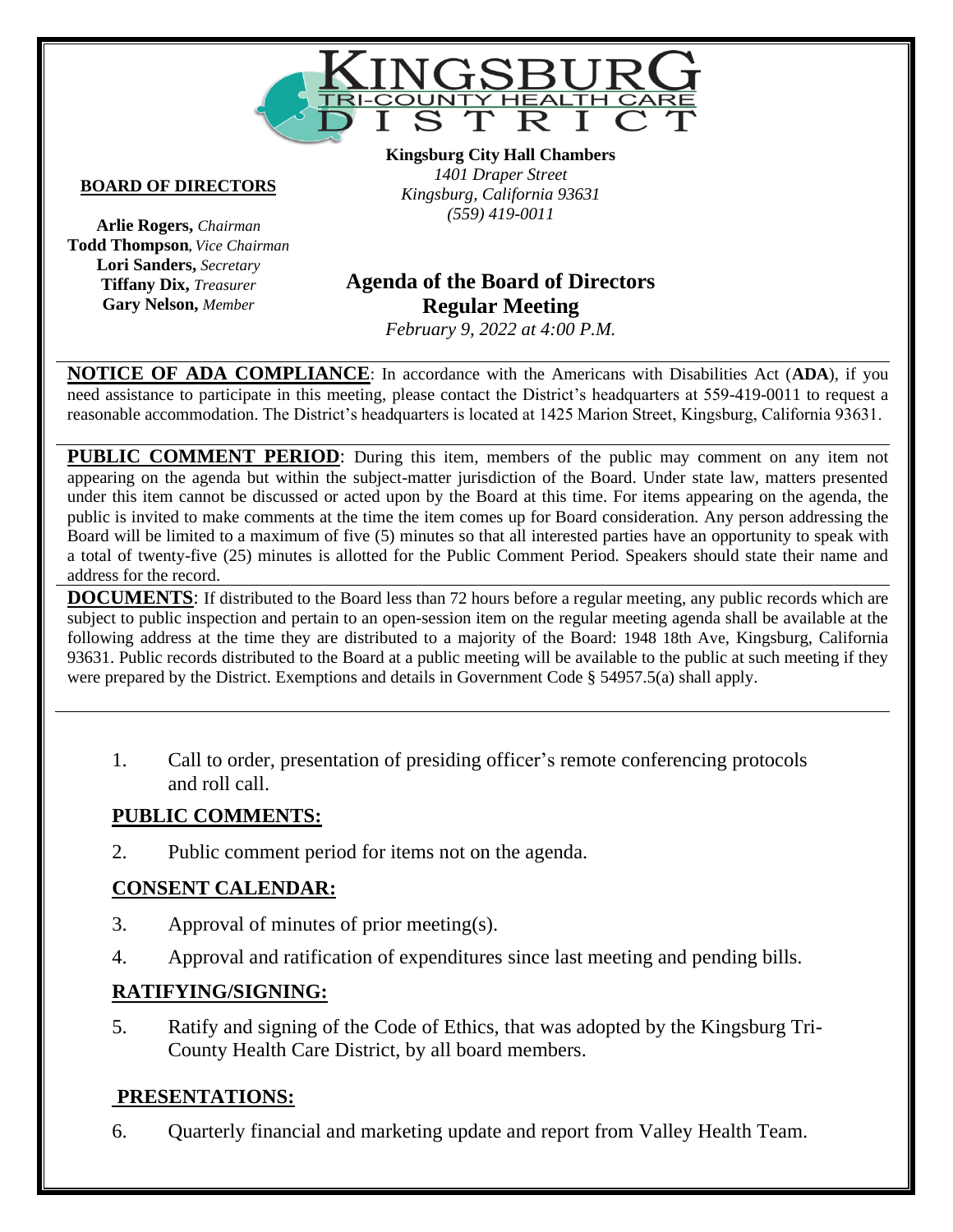

#### **BOARD OF DIRECTORS**

**Arlie Rogers,** *Chairman* **Todd Thompson,** *Vice Chairman* **Lori Sanders,** *Secretary* **Tiffany Dix,** *Treasurer* **Gary Nelson,** *Member*

**Kingsburg City Hall Chambers** *1401 Draper Street Kingsburg, California 93631 (559) 419-0011*

# **Vacant Agenda of the Board of Directors Regular Meeting**

*February 9, 2022 at 4:00 P.M.*

**NOTICE OF ADA COMPLIANCE**: In accordance with the Americans with Disabilities Act (**ADA**), if you need assistance to participate in this meeting, please contact the District's headquarters at 559-419-0011 to request a reasonable accommodation. The District's headquarters is located at 1425 Marion Street, Kingsburg, California 93631.

**PUBLIC COMMENT PERIOD:** During this item, members of the public may comment on any item not appearing on the agenda but within the subject-matter jurisdiction of the Board. Under state law, matters presented under this item cannot be discussed or acted upon by the Board at this time. For items appearing on the agenda, the public is invited to make comments at the time the item comes up for Board consideration. Any person addressing the Board will be limited to a maximum of five (5) minutes so that all interested parties have an opportunity to speak with a total of twenty-five (25) minutes is allotted for the Public Comment Period. Speakers should state their name and address for the record.

**DOCUMENTS**: If distributed to the Board less than 72 hours before a regular meeting, any public records which are subject to public inspection and pertain to an open-session item on the regular meeting agenda shall be available at the following address at the time they are distributed to a majority of the Board: 1948 18th Ave, Kingsburg, California 93631. Public records distributed to the Board at a public meeting will be available to the public at such meeting if they were prepared by the District. Exemptions and details in Government Code § 54957.5(a) shall apply.

1. Call to order, presentation of presiding officer's remote conferencing protocols and roll call.

#### **PUBLIC COMMENTS:**

2. Public comment period for items not on the agenda.

### **CONSENT CALENDAR:**

- 3. Approval of minutes of prior meeting(s).
- 4. Approval and ratification of expenditures since last meeting and pending bills.

### **RATIFYING/SIGNING:**

5. Ratify and signing of the Code of Ethics, that was adopted by the Kingsburg Tri-County Health Care District, by all board members.

### **PRESENTATIONS:**

6. Quarterly financial and marketing update and report from Valley Health Team.